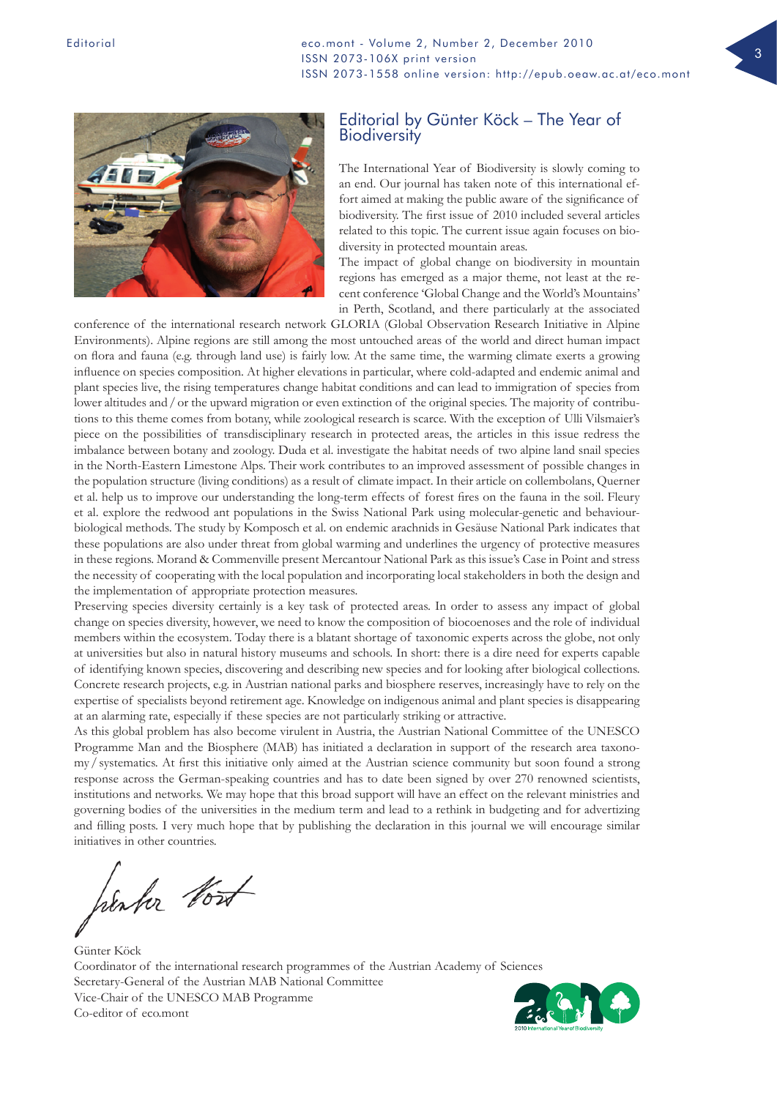Editorial **Editorial Editorial Research Research Research Figure 2, Number 2, December 2010** ISSN 2073-106X print version ISSN 2073-1558 online version: http://epub.oeaw.ac.at/eco.mont



## Editorial by Günter Köck – The Year of **Biodiversity**

The International Year of Biodiversity is slowly coming to an end. Our journal has taken note of this international effort aimed at making the public aware of the significance of biodiversity. The first issue of 2010 included several articles related to this topic. The current issue again focuses on biodiversity in protected mountain areas.

The impact of global change on biodiversity in mountain regions has emerged as a major theme, not least at the recent conference 'Global Change and the World's Mountains' in Perth, Scotland, and there particularly at the associated

conference of the international research network GLORIA (Global Observation Research Initiative in Alpine Environments). Alpine regions are still among the most untouched areas of the world and direct human impact on flora and fauna (e.g. through land use) is fairly low. At the same time, the warming climate exerts a growing influence on species composition. At higher elevations in particular, where cold-adapted and endemic animal and plant species live, the rising temperatures change habitat conditions and can lead to immigration of species from lower altitudes and / or the upward migration or even extinction of the original species. The majority of contributions to this theme comes from botany, while zoological research is scarce. With the exception of Ulli Vilsmaier's piece on the possibilities of transdisciplinary research in protected areas, the articles in this issue redress the imbalance between botany and zoology. Duda et al. investigate the habitat needs of two alpine land snail species in the North-Eastern Limestone Alps. Their work contributes to an improved assessment of possible changes in the population structure (living conditions) as a result of climate impact. In their article on collembolans, Querner et al. help us to improve our understanding the long-term effects of forest fires on the fauna in the soil. Fleury et al. explore the redwood ant populations in the Swiss National Park using molecular-genetic and behaviourbiological methods. The study by Komposch et al. on endemic arachnids in Gesäuse National Park indicates that these populations are also under threat from global warming and underlines the urgency of protective measures in these regions. Morand & Commenville present Mercantour National Park as this issue's Case in Point and stress the necessity of cooperating with the local population and incorporating local stakeholders in both the design and the implementation of appropriate protection measures.

Preserving species diversity certainly is a key task of protected areas. In order to assess any impact of global change on species diversity, however, we need to know the composition of biocoenoses and the role of individual members within the ecosystem. Today there is a blatant shortage of taxonomic experts across the globe, not only at universities but also in natural history museums and schools. In short: there is a dire need for experts capable of identifying known species, discovering and describing new species and for looking after biological collections. Concrete research projects, e.g. in Austrian national parks and biosphere reserves, increasingly have to rely on the expertise of specialists beyond retirement age. Knowledge on indigenous animal and plant species is disappearing at an alarming rate, especially if these species are not particularly striking or attractive.

As this global problem has also become virulent in Austria, the Austrian National Committee of the UNESCO Programme Man and the Biosphere (MAB) has initiated a declaration in support of the research area taxonomy/systematics. At first this initiative only aimed at the Austrian science community but soon found a strong response across the German-speaking countries and has to date been signed by over 270 renowned scientists, institutions and networks. We may hope that this broad support will have an effect on the relevant ministries and governing bodies of the universities in the medium term and lead to a rethink in budgeting and for advertizing and filling posts. I very much hope that by publishing the declaration in this journal we will encourage similar initiatives in other countries.

henhor bout

Günter Köck Coordinator of the international research programmes of the Austrian Academy of Sciences Secretary-General of the Austrian MAB National Committee Vice-Chair of the UNESCO MAB Programme Co-editor of eco.mont